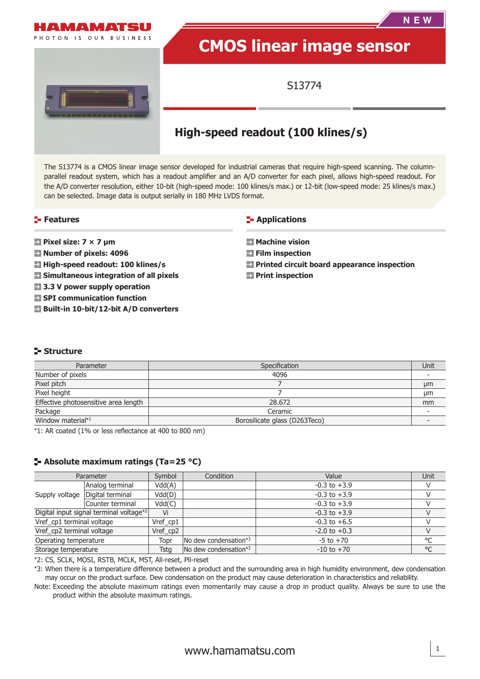

# **High-speed readout (100 klines/s)**

The S13774 is a CMOS linear image sensor developed for industrial cameras that require high-speed scanning. The columnparallel readout system, which has a readout amplifier and an A/D converter for each pixel, allows high-speed readout. For the A/D converter resolution, either 10-bit (high-speed mode: 100 klines/s max.) or 12-bit (low-speed mode: 25 klines/s max.) can be selected. Image data is output serially in 180 MHz LVDS format.

#### **Features**

- **Pixel size: 7 × 7 µm**
- **Number of pixels: 4096**
- **High-speed readout: 100 klines/s**
- **Simultaneous integration of all pixels**
- **3.3 V power supply operation**
- **SPI communication function**
- **Built-in 10-bit/12-bit A/D converters**

#### **E-** Applications

- **Machine vision**
- **Film inspection**
- **Printed circuit board appearance inspection**
- **Print inspection**

### **Structure**

| Parameter                            | Specification                 | Unit |
|--------------------------------------|-------------------------------|------|
| Number of pixels                     | 4096                          |      |
| Pixel pitch                          |                               | μm   |
| Pixel height                         |                               | μm   |
| Effective photosensitive area length | 28,672                        | mm   |
| Package                              | Ceramic                       |      |
| Window material*1                    | Borosilicate glass (D263Teco) |      |

\*1: AR coated (1% or less reflectance at 400 to 800 nm)

### **Absolute maximum ratings (Ta=25 °C)**

|                           | Parameter                               | Symbol      | Condition                | Value            | Unit         |
|---------------------------|-----------------------------------------|-------------|--------------------------|------------------|--------------|
|                           | Analog terminal                         | Vdd(A)      |                          | $-0.3$ to $+3.9$ |              |
|                           | Supply voltage   Digital terminal       | Vdd(D)      |                          | $-0.3$ to $+3.9$ |              |
|                           | Counter terminal                        | Vdd(C)      |                          | $-0.3$ to $+3.9$ |              |
|                           | Digital input signal terminal voltage*2 | Vi          |                          | $-0.3$ to $+3.9$ |              |
| Vref_cp1 terminal voltage |                                         | Vref cp1    |                          | $-0.3$ to $+6.5$ |              |
| Vref_cp2 terminal voltage |                                         | Vref cp2    |                          | $-2.0$ to $+0.3$ |              |
| Operating temperature     |                                         | Topr        | No dew condensation*3    | $-5$ to $+70$    | °C           |
| Storage temperature       |                                         | <b>Tsta</b> | No dew condensation $*3$ | $-10$ to $+70$   | $^{\circ}$ C |

\*2: CS, SCLK, MOSI, RSTB, MCLK, MST, All-reset, Pll-reset

\*3: When there is a temperature difference between a product and the surrounding area in high humidity environment, dew condensation may occur on the product surface. Dew condensation on the product may cause deterioration in characteristics and reliability.

Note: Exceeding the absolute maximum ratings even momentarily may cause a drop in product quality. Always be sure to use the product within the absolute maximum ratings.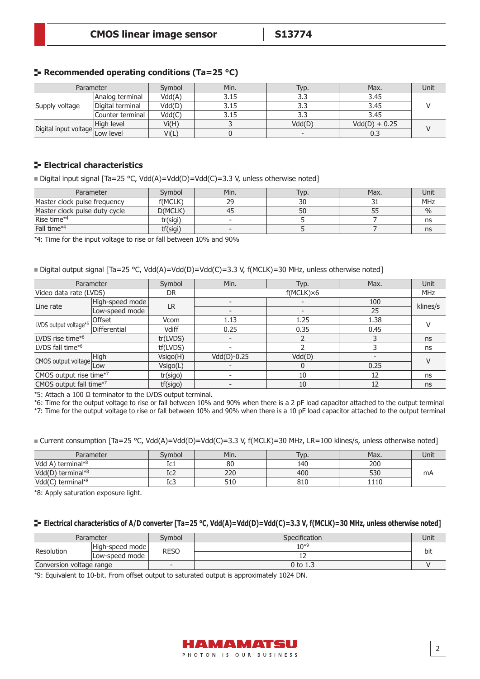|  | <b>-</b> Recommended operating conditions (Ta=25 $^{\circ}$ C) |  |  |  |  |
|--|----------------------------------------------------------------|--|--|--|--|
|--|----------------------------------------------------------------|--|--|--|--|

| Parameter                                     |                  | Symbol | Min. | Typ.   | Max.            | Unit |  |
|-----------------------------------------------|------------------|--------|------|--------|-----------------|------|--|
| Supply voltage                                | Analog terminal  | Vdd(A) | 3.15 | 3.3    | 3.45            |      |  |
|                                               | Digital terminal | Vdd(D) | 3.15 | 3.3    | 3.45            |      |  |
|                                               | Counter terminal | Vdd(C) | 3.15 | 3.3    | 3.45            |      |  |
| Digital input voltage $\frac{1}{2}$ Low level | High level       | Vi(H)  |      | Vdd(D) | $Vdd(D) + 0.25$ |      |  |
|                                               |                  | Vi(L)  |      |        | 0.3             |      |  |

### **Electrical characteristics**

Digital input signal  $[Ta=25 \text{ °C}, \text{Vdd(A)}=Vdd(D)=Vdd(C)=3.3 \text{ V},$  unless otherwise noted]

| Parameter                     | Symbol   | Min. | Typ. | Max. | Unit          |
|-------------------------------|----------|------|------|------|---------------|
| Master clock pulse frequency  | f(MCLK)  | 29   | 30   |      | MHz           |
| Master clock pulse duty cycle | D(MCLK)  |      | 50   |      | $\frac{0}{0}$ |
| Rise time* <sup>4</sup>       | tr(sigi) |      |      |      | ns            |
| Fall time* <sup>4</sup>       | tf(sigi) |      |      |      | ns            |

\*4: Time for the input voltage to rise or fall between 10% and 90%

■ Digital output signal [Ta=25 °C, Vdd(A)=Vdd(D)=Vdd(C)=3.3 V, f(MCLK)=30 MHz, unless otherwise noted]

|                              | Parameter       | Symbol    | Min.                     | Typ.               | Max. | Unit     |  |  |
|------------------------------|-----------------|-----------|--------------------------|--------------------|------|----------|--|--|
| Video data rate (LVDS)       |                 | <b>DR</b> |                          | $f(MCLK) \times 6$ |      |          |  |  |
| Line rate                    | High-speed mode | <b>LR</b> |                          |                    | 100  | klines/s |  |  |
|                              | Low-speed mode  |           | $\overline{\phantom{a}}$ |                    | 25   |          |  |  |
|                              | Offset          | Vcom      | 1.13                     | 1.25               | 1.38 |          |  |  |
| LVDS output voltage*5        | Differential    | Vdiff     | 0.25                     | 0.35               | 0.45 |          |  |  |
| LVDS rise time* <sup>6</sup> |                 | tr(LVDS)  | $\overline{\phantom{0}}$ |                    |      | ns       |  |  |
| LVDS fall time* <sup>6</sup> |                 | tf(LVDS)  | $\overline{\phantom{0}}$ |                    |      | ns       |  |  |
|                              | <b>High</b>     | Vsigo(H)  | $Vdd(D)-0.25$            | Vdd(D)             |      |          |  |  |
| CMOS output voltage          | Low             | Vsigo(L)  |                          | 0                  | 0.25 |          |  |  |
| CMOS output rise time*7      |                 | tr(sigo)  |                          | 10                 | 12   | ns       |  |  |
| CMOS output fall time*7      |                 | tf(sigo)  |                          | 10                 | 12   | ns       |  |  |

\*5: Attach a 100 Ω terminator to the LVDS output terminal.

\*6: Time for the output voltage to rise or fall between 10% and 90% when there is a 2 pF load capacitor attached to the output terminal

\*7: Time for the output voltage to rise or fall between 10% and 90% when there is a 10 pF load capacitor attached to the output terminal

| Parameter           | svmbol      | Min. | $TVD$ . | Max. | Unit |
|---------------------|-------------|------|---------|------|------|
| Vdd A) terminal*8   | ᅭ           | 80   | 140     | 200  |      |
| Vdd(D) terminal*8   | ᇿ᠘          | 220  | 400     | 530  | mA   |
| $Vdd(C)$ terminal*8 | `∼ ا<br>ມບປ | 510  | 810     | 1110 |      |

■ Current consumption [Ta=25 °C, Vdd(A)=Vdd(D)=Vdd(C)=3.3 V, f(MCLK)=30 MHz, LR=100 klines/s, unless otherwise noted]

\*8: Apply saturation exposure light.

#### **Electrical characteristics of A/D converter [Ta=25 °C, Vdd(A)=Vdd(D)=Vdd(C)=3.3 V, f(MCLK)=30 MHz, unless otherwise noted]**

|                          | Parameter       | Svmbol      | Specification | Unit |
|--------------------------|-----------------|-------------|---------------|------|
| Resolution               | High-speed mode | <b>RESO</b> | $10^{*9}$     | bit  |
|                          | Low-speed mode  |             |               |      |
| Conversion voltage range |                 |             | $0$ to 1.3    |      |

\*9: Equivalent to 10-bit. From offset output to saturated output is approximately 1024 DN.

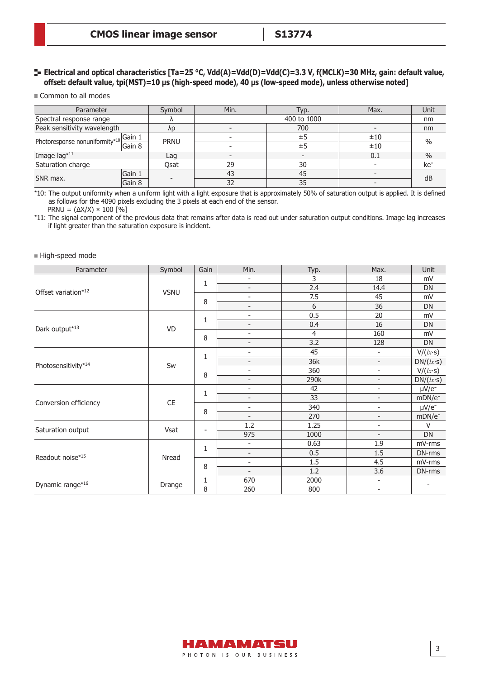### **E** Electrical and optical characteristics [Ta=25 °C, Vdd(A)=Vdd(D)=Vdd(C)=3.3 V, f(MCLK)=30 MHz, gain: default value, **offset: default value, tpi(MST)=10 µs (high-speed mode), 40 µs (low-speed mode), unless otherwise noted]**

Common to all modes

| Parameter                      |        | Symbol      | Min. | Typ.        | Max. | Unit            |  |
|--------------------------------|--------|-------------|------|-------------|------|-----------------|--|
| Spectral response range        |        |             |      | 400 to 1000 |      | nm              |  |
| Peak sensitivity wavelength    |        | λp          |      | 700         |      | nm              |  |
|                                | Gain 1 | <b>PRNU</b> |      | ±5          | ±10  | $\%$            |  |
| Photoresponse nonuniformity*10 | Gain 8 |             |      | ±5          | ±10  |                 |  |
| Image lag*11                   |        | Lag         |      |             | 0.1  | $\%$            |  |
| Saturation charge              |        | Osat        | 29   | 30          |      | ke <sup>-</sup> |  |
| SNR max.                       | Gain 1 |             | 43   | 45          |      | dB              |  |
|                                | Gain 8 |             | 32   | 35          |      |                 |  |

\*10: The output uniformity when a uniform light with a light exposure that is approximately 50% of saturation output is applied. It is defined as follows for the 4090 pixels excluding the 3 pixels at each end of the sensor.

 $PRNU = (\Delta X/X) \times 100 [%]$ 

\*11: The signal component of the previous data that remains after data is read out under saturation output conditions. Image lag increases if light greater than the saturation exposure is incident.

#### High-speed mode

| Parameter             | Symbol        | Gain           | Min.                     | Typ.           | Max.                         | Unit               |
|-----------------------|---------------|----------------|--------------------------|----------------|------------------------------|--------------------|
|                       |               | 1              | -                        | 3              | 18                           | mV                 |
| Offset variation*12   | <b>VSNU</b>   |                | $\overline{\phantom{0}}$ | 2.4            | 14.4                         | DN                 |
|                       |               | 8              | $\overline{\phantom{0}}$ | 7.5            | 45                           | mV                 |
|                       |               |                | $\overline{\phantom{0}}$ | 6              | 36                           | DN                 |
|                       |               | 1              | $\overline{\phantom{0}}$ | 0.5            | 20                           | mV                 |
| Dark output*13        | <b>VD</b>     |                | $\overline{\phantom{0}}$ | 0.4            | 16                           | DN                 |
|                       |               | 8              | $\overline{\phantom{0}}$ | $\overline{4}$ | 160                          | mV                 |
|                       |               |                | $\overline{\phantom{0}}$ | 3.2            | 128                          | DN                 |
|                       |               | 1              | $\overline{\phantom{0}}$ | 45             | $\overline{\phantom{a}}$     | V/(lx·s)           |
| Photosensitivity*14   | Sw            |                | $\overline{\phantom{0}}$ | 36k            | $\overline{\phantom{a}}$     | DN/(lx·s)          |
|                       |               | 8              | $\overline{\phantom{0}}$ | 360            | $\overline{\phantom{0}}$     | V/(lx·s)           |
|                       |               |                | $\overline{\phantom{0}}$ | 290k           | $\overline{\phantom{0}}$     | DN/(lx·s)          |
|                       | $\mathsf{CE}$ | 1<br>8         | $\overline{\phantom{0}}$ | 42             | $\overline{\phantom{m}}$     | $\mu V/e^-$        |
| Conversion efficiency |               |                | $\overline{\phantom{0}}$ | 33             | $\overline{\phantom{a}}$     | mDN/e <sup>-</sup> |
|                       |               |                | $\overline{\phantom{0}}$ | 340            | $\qquad \qquad \blacksquare$ | $\mu V/e^-$        |
|                       |               |                | $\overline{\phantom{0}}$ | 270            | $\overline{\phantom{0}}$     | mDN/e <sup>-</sup> |
| Saturation output     | Vsat          | ۰              | 1.2                      | 1.25           | $\overline{\phantom{0}}$     | v                  |
|                       |               |                | 975                      | 1000           | $\overline{\phantom{a}}$     | DN                 |
|                       |               | 1              | $\overline{\phantom{0}}$ | 0.63           | 1.9                          | mV-rms             |
| Readout noise*15      | Nread         |                | $\overline{\phantom{0}}$ | 0.5            | 1.5                          | DN-rms             |
|                       |               | 8              | $\overline{\phantom{0}}$ | 1.5            | 4.5                          | mV-rms             |
|                       |               |                | $\overline{\phantom{a}}$ | 1.2            | 3.6                          | DN-rms             |
| Dynamic range*16      |               | $\mathbf{1}$   | 670                      | 2000           | $\overline{\phantom{m}}$     |                    |
|                       | Drange        | $\overline{8}$ | 260                      | 800            | $\overline{\phantom{m}}$     |                    |

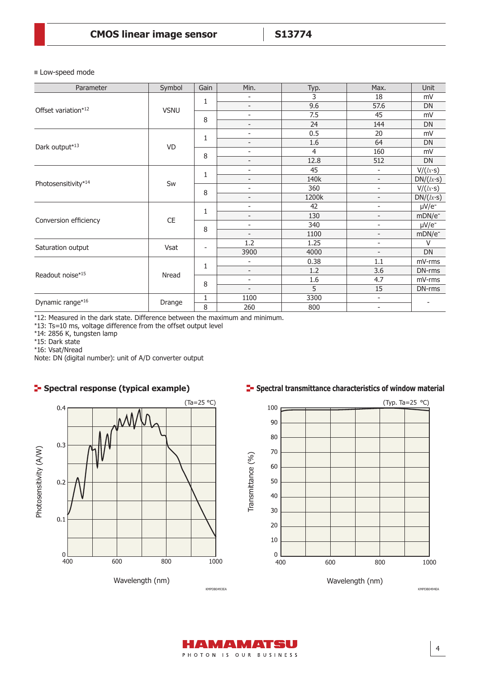**Low-speed mode** 

| Parameter             | Symbol      | Gain              | Min.                     | Typ.           | Max.                     | Unit                   |
|-----------------------|-------------|-------------------|--------------------------|----------------|--------------------------|------------------------|
|                       |             | 1                 |                          | $\overline{3}$ | 18                       | mV                     |
| Offset variation*12   | <b>VSNU</b> |                   | $\overline{a}$           | 9.6            | 57.6                     | DN                     |
|                       |             | 8                 | $\overline{\phantom{0}}$ | 7.5            | 45                       | mV                     |
|                       |             |                   | $\overline{\phantom{0}}$ | 24             | 144                      | DN                     |
|                       |             | 1                 | $\overline{\phantom{0}}$ | 0.5            | 20                       | mV                     |
| Dark output*13        | VD          |                   | $\overline{\phantom{0}}$ | 1.6            | 64                       | DN                     |
|                       |             | 8                 | $\overline{\phantom{0}}$ | 4              | 160                      | mV                     |
|                       |             |                   | $\overline{\phantom{0}}$ | 12.8           | 512                      | DN                     |
|                       |             | 1                 | $\overline{\phantom{0}}$ | 45             | $\overline{\phantom{a}}$ | V/(lx·s)               |
|                       | Sw          |                   | $\overline{\phantom{0}}$ | 140k           | $\overline{\phantom{a}}$ | DN/(lx·s)              |
| Photosensitivity*14   |             | 8                 | $\overline{\phantom{0}}$ | 360            | $\overline{\phantom{a}}$ | V/(lx·s)               |
|                       |             |                   | $\overline{\phantom{0}}$ | 1200k          | $\overline{\phantom{a}}$ | DN/(lx·s)              |
|                       |             | 1<br>8            | $\overline{\phantom{0}}$ | 42             | $\overline{\phantom{a}}$ | $\mu$ V/e <sup>-</sup> |
|                       | CE          |                   | $\overline{\phantom{0}}$ | 130            | $\overline{\phantom{a}}$ | mDN/e <sup>-</sup>     |
| Conversion efficiency |             |                   | $\overline{\phantom{0}}$ | 340            | $\overline{\phantom{a}}$ | $\mu V/e^-$            |
|                       |             |                   | $\overline{\phantom{0}}$ | 1100           | $\overline{\phantom{a}}$ | mDN/e <sup>-</sup>     |
|                       |             |                   | 1.2                      | 1.25           | $\overline{\phantom{a}}$ | $\vee$                 |
| Saturation output     | Vsat        | $\qquad \qquad -$ | 3900                     | 4000           | $\overline{\phantom{a}}$ | DN                     |
|                       |             | $\mathbf{1}$      | $\overline{\phantom{0}}$ | 0.38           | 1.1                      | mV-rms                 |
| Readout noise*15      |             |                   | $\overline{\phantom{0}}$ | 1.2            | 3.6                      | DN-rms                 |
|                       | Nread       |                   | $\overline{\phantom{0}}$ | 1.6            | 4.7                      | mV-rms                 |
|                       |             | 8                 |                          | 5              | 15                       | DN-rms                 |
|                       |             | 1                 | 1100                     | 3300           | $\overline{\phantom{a}}$ |                        |
| Dynamic range*16      | Drange      | $\overline{8}$    | 260                      | 800            | $\overline{\phantom{a}}$ |                        |

\*12: Measured in the dark state. Difference between the maximum and minimum.

\*13: Ts=10 ms, voltage difference from the offset output level

\*14: 2856 K, tungsten lamp

\*15: Dark state

\*16: Vsat/Nread

Note: DN (digital number): unit of A/D converter output

# **F** Spectral response (typical example)



# **Spectral transmittance characteristics of window material**



4

AMAMATSU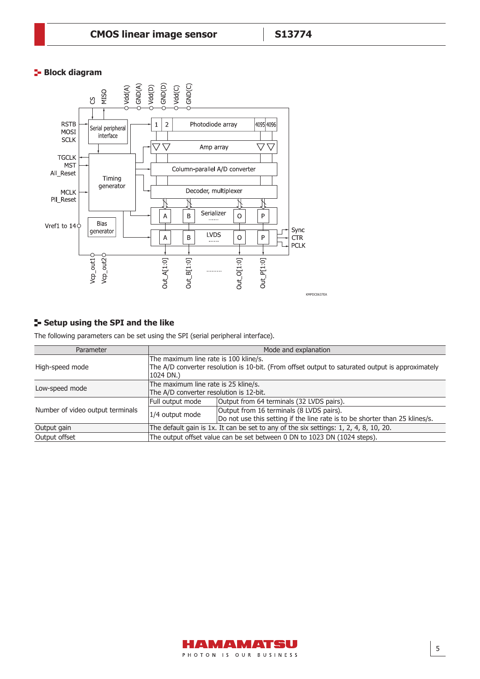# **Block diagram**



# **Setup using the SPI and the like**

The following parameters can be set using the SPI (serial peripheral interface).

| Parameter                        | Mode and explanation                                                                                                                                   |                                                                                                                         |  |  |
|----------------------------------|--------------------------------------------------------------------------------------------------------------------------------------------------------|-------------------------------------------------------------------------------------------------------------------------|--|--|
| High-speed mode                  | The maximum line rate is 100 kline/s.<br>The A/D converter resolution is 10-bit. (From offset output to saturated output is approximately<br>1024 DN.) |                                                                                                                         |  |  |
| Low-speed mode                   | The maximum line rate is 25 kline/s.<br>The A/D converter resolution is 12-bit.                                                                        |                                                                                                                         |  |  |
|                                  | Output from 64 terminals (32 LVDS pairs).<br>Full output mode                                                                                          |                                                                                                                         |  |  |
| Number of video output terminals | 1/4 output mode                                                                                                                                        | Output from 16 terminals (8 LVDS pairs).<br>Do not use this setting if the line rate is to be shorter than 25 klines/s. |  |  |
| Output gain                      | The default gain is 1x. It can be set to any of the six settings: 1, 2, 4, 8, 10, 20.                                                                  |                                                                                                                         |  |  |
| Output offset                    |                                                                                                                                                        | The output offset value can be set between 0 DN to 1023 DN (1024 steps).                                                |  |  |

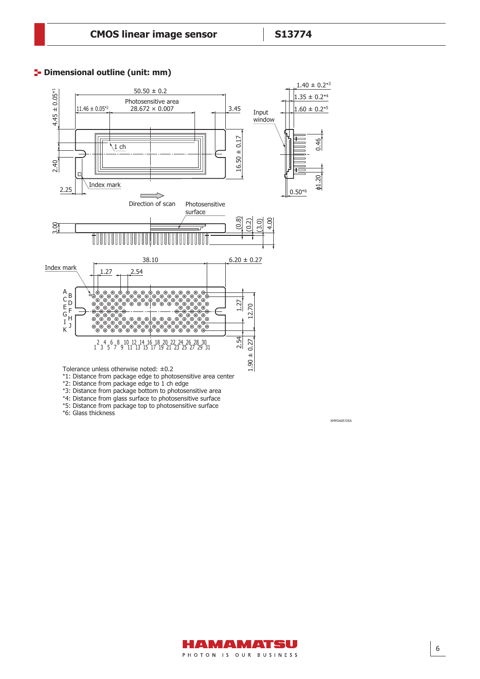### **<sup>1</sup>** Dimensional outline (unit: mm)



\*2: Distance from package edge to 1 ch edge

\*3: Distance from package bottom to photosensitive area

\*4: Distance from glass surface to photosensitive surface

\*5: Distance from package top to photosensitive surface

\*6: Glass thickness



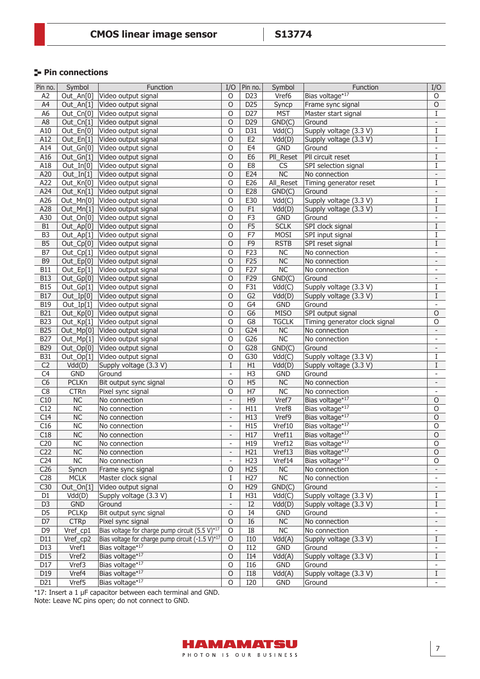# **Pin connections**

| Pin no.          | Symbol                 | Function                                         | I/O                      | Pin no.         | Symbol                 | Function                      | I/O                      |
|------------------|------------------------|--------------------------------------------------|--------------------------|-----------------|------------------------|-------------------------------|--------------------------|
| A <sub>2</sub>   | Out_An[0]              | Video output signal                              | O                        | D <sub>23</sub> | Vref6                  | Bias voltage*17               | O                        |
| A4               | Out_An[1]              | Video output signal                              | $\circ$                  | D <sub>25</sub> | Syncp                  | Frame sync signal             | $\circ$                  |
| A <sub>6</sub>   | Out_Cn[0]              | Video output signal                              | O                        | D27             | <b>MST</b>             | Master start signal           | I                        |
| A <sub>8</sub>   | Out_Cn[1]              | Video output signal                              | $\circ$                  | D <sub>29</sub> | GND(C)                 | Ground                        | $\overline{\phantom{a}}$ |
| A10              | Out_En[0]              | Video output signal                              | $\circ$                  | D31             | Vdd(C)                 | Supply voltage (3.3 V)        | I                        |
| A12              | Out_En[1]              | Video output signal                              | O                        | E <sub>2</sub>  | Vdd(D)                 | Supply voltage (3.3 V)        | $\overline{\mathrm{I}}$  |
| A14              | Out_Gn[0]              | Video output signal                              | $\overline{O}$           | E4              | <b>GND</b>             | Ground                        | $\overline{\phantom{a}}$ |
| A16              | $Out_Gn[1]$            | Video output signal                              | O                        | E <sub>6</sub>  | PII_Reset              | PII circuit reset             | $\bf{I}$                 |
| A18              | Out_In[0]              | Video output signal                              | O                        | E8              | <b>CS</b>              | SPI selection signal          | Ι                        |
| A20              | Out_In $[1]$           | Video output signal                              | $\circ$                  | E24             | NC                     | No connection                 | $\overline{\phantom{a}}$ |
| A22              | Out_Kn[0]              | Video output signal                              | O                        | E26             | All_Reset              | Timing generator reset        | I                        |
| A24              | $Out_K[n[1]$           | Video output signal                              | $\overline{O}$           | E28             | GND(C)                 | Ground                        | $\overline{\phantom{a}}$ |
| A26              | Out_Mn[0]              | Video output signal                              | O                        | E30             | Vdd(C)                 | Supply voltage (3.3 V)        | Ι                        |
| A28              | Out_Mn[1]              | Video output signal                              | $\circ$                  | F1              | Vdd(D)                 | Supply voltage (3.3 V)        | $\rm I$                  |
| A30              | Out_On[0]              | Video output signal                              | O                        | F <sub>3</sub>  | <b>GND</b>             | Ground                        | $\overline{\phantom{a}}$ |
| B <sub>1</sub>   | Out_Ap[0]              | Video output signal                              | $\circ$                  | F <sub>5</sub>  | <b>SCLK</b>            | SPI clock signal              | I                        |
| B <sub>3</sub>   | Out_Ap[1]              | Video output signal                              | $\circ$                  | F7              | MOSI                   | SPI input signal              | Ι                        |
| $\overline{B5}$  | Out_Cp[0]              | Video output signal                              | 0                        | F9              | <b>RSTB</b>            | SPI reset signal              | Ι                        |
| B7               | Out_Cp[1]              | Video output signal                              | O                        | F23             | <b>NC</b>              | No connection                 | $\blacksquare$           |
| B <sub>9</sub>   | Out_Ep[0]              | Video output signal                              | $\circ$                  | F25             | NC                     | No connection                 | $\overline{\phantom{a}}$ |
| <b>B11</b>       | Out_Ep[1]              | Video output signal                              | O                        | F27             | $\overline{\text{NC}}$ | No connection                 | $\overline{\phantom{a}}$ |
| <b>B13</b>       | Out_Gp[0]              | Video output signal                              | $\overline{O}$           | F29             | GND(C)                 | Ground                        | $\overline{\phantom{a}}$ |
| <b>B15</b>       | Out_Gp[1]              | Video output signal                              | O                        | F31             | Vdd(C)                 | Supply voltage (3.3 V)        | Ι                        |
| <b>B17</b>       | Out_Ip[0]              | Video output signal                              | O                        | G <sub>2</sub>  | Vdd(D)                 | Supply voltage (3.3 V)        | I                        |
| <b>B19</b>       | $Out\_Ip[1]$           | Video output signal                              | $\mathsf O$              | G4              | <b>GND</b>             | Ground                        | $\overline{\phantom{a}}$ |
| <b>B21</b>       | Out_Kp[0]              | Video output signal                              | $\circ$                  | G <sub>6</sub>  | <b>MISO</b>            | SPI output signal             | $\overline{O}$           |
| <b>B23</b>       | Out_Kp[1]              | Video output signal                              | $\circ$                  | G8              | <b>TGCLK</b>           | Timing generator clock signal | O                        |
| <b>B25</b>       | Out_Mp[0]              | Video output signal                              | O                        | G24             | NC                     | No connection                 | $\overline{\phantom{a}}$ |
| <b>B27</b>       | Out_Mp[1]              | Video output signal                              | $\overline{O}$           | G26             | $\overline{\text{NC}}$ | No connection                 | $\overline{\phantom{a}}$ |
| <b>B29</b>       | Out_Op[0]              | Video output signal                              | $\overline{O}$           | G28             | GND(C)                 | Ground                        | $\overline{\phantom{a}}$ |
| <b>B31</b>       | Out_Op[1]              | Video output signal                              | O                        | G30             | Vdd(C)                 | Supply voltage (3.3 V)        | I                        |
| C <sub>2</sub>   | Vdd(D)                 | Supply voltage (3.3 V)                           | $\mathbf I$              | H1              | Vdd(D)                 | Supply voltage (3.3 V)        | Ι                        |
| C <sub>4</sub>   | <b>GND</b>             | Ground                                           | $\overline{\phantom{a}}$ | H <sub>3</sub>  | <b>GND</b>             | Ground                        |                          |
| C6               | <b>PCLKn</b>           | Bit output sync signal                           | $\circ$                  | H <sub>5</sub>  | NC                     | No connection                 | $\overline{\phantom{a}}$ |
| C8               | <b>CTRn</b>            | Pixel sync signal                                | O                        | H7              | $\overline{\text{NC}}$ | No connection                 |                          |
| C10              | <b>NC</b>              | No connection                                    | $\overline{\phantom{a}}$ | H <sub>9</sub>  | Vref7                  | Bias voltage*17               | $\mathsf O$              |
| C12              | <b>NC</b>              | No connection                                    | $\overline{\phantom{a}}$ | H11             | Vref8                  | Bias voltage*17               | $\mathsf O$              |
| C14              | <b>NC</b>              | No connection                                    | $\overline{\phantom{a}}$ | H13             | Vref9                  | Bias voltage*17               | $\circ$                  |
| C16              | <b>NC</b>              | No connection                                    | $\overline{\phantom{a}}$ | H15             | Vref10                 | Bias voltage*17               | $\mathsf O$              |
| C18              | NC                     | No connection                                    | $\qquad \qquad -$        | H17             | Vref11                 | Bias voltage*17               | $\overline{O}$           |
| $\overline{C20}$ | $\overline{\text{NC}}$ | No connection                                    |                          | H19             | Vref12                 | Bias voltage*17               | $\overline{0}$           |
| C <sub>22</sub>  | NC                     | No connection                                    | $\overline{\phantom{a}}$ | H21             | Vref13                 | Bias voltage*17               | $\circ$                  |
| C <sub>24</sub>  | NC                     | No connection                                    | $\qquad \qquad -$        | H <sub>23</sub> | Vref14                 | Bias voltage*17               | 0                        |
| C <sub>26</sub>  | Syncn                  | Frame sync signal                                | $\circ$                  | H25             | NC                     | No connection                 | $\overline{\phantom{a}}$ |
| C28              | <b>MCLK</b>            | Master clock signal                              | $\rm I$                  | H <sub>27</sub> | $\overline{\text{NC}}$ | No connection                 | $\frac{1}{2}$            |
| C30              | Out_On[1]              | Video output signal                              | O                        | H <sub>29</sub> | GND(C)                 | Ground                        | $\overline{\phantom{a}}$ |
| D1               | Vdd(D)                 | Supply voltage (3.3 V)                           | I                        | H31             | Vdd(C)                 | Supply voltage (3.3 V)        | $\rm I$                  |
| D <sub>3</sub>   | <b>GND</b>             | Ground                                           | $\qquad \qquad -$        | I2              | Vdd(D)                 | Supply voltage (3.3 V)        | $\bf{I}$                 |
| D <sub>5</sub>   | <b>PCLKp</b>           | Bit output sync signal                           | O                        | I4              | <b>GND</b>             | Ground                        | $\overline{\phantom{a}}$ |
| D7               | <b>CTRp</b>            | Pixel sync signal                                | $\circ$                  | $I6$            | $\sf NC$               | No connection                 | $\overline{\phantom{a}}$ |
| D <sub>9</sub>   | Vref_cp1               | Bias voltage for charge pump circuit (5.5 V)*17  | $\overline{0}$           | $\overline{18}$ | NC                     | No connection                 | $\blacksquare$           |
| D11              | Vref_cp2               | Bias voltage for charge pump circuit (-1.5 V)*17 | $\mathsf O$              | I10             | Vdd(A)                 | Supply voltage (3.3 V)        | $\mathbf I$              |
| D13              | Vref1                  | Bias voltage*17                                  | O                        | I12             | <b>GND</b>             | Ground                        | $\overline{\phantom{a}}$ |
| D15              | Vref2                  | Bias voltage*17                                  | $\mathsf O$              | <b>I14</b>      | Vdd(A)                 | Supply voltage (3.3 V)        | $\rm I$                  |
| D17              | Vref3                  | Bias voltage*17                                  | O                        | <b>I16</b>      | <b>GND</b>             | Ground                        |                          |
| D19              | Vref4                  | Bias voltage*17                                  | $\circ$                  | <b>I18</b>      | Vdd(A)                 | Supply voltage (3.3 V)        | $\rm I$                  |
| D21              | Vref5                  | Bias voltage*17                                  | O                        | <b>I20</b>      | <b>GND</b>             | Ground                        |                          |

\*17: Insert a 1 µF capacitor between each terminal and GND.

Note: Leave NC pins open; do not connect to GND.

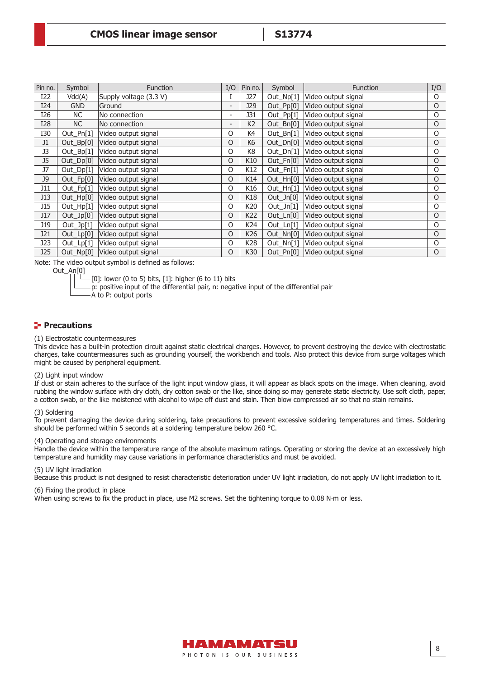| Pin no.    | Symbol        | <b>Function</b>        | I/O      | Pin no.        | Symbol       | <b>Function</b>     | I/O      |
|------------|---------------|------------------------|----------|----------------|--------------|---------------------|----------|
| I22        | Vdd(A)        | Supply voltage (3.3 V) |          | J27            | Out_Np[1]    | Video output signal | O        |
| I24        | <b>GND</b>    | Ground                 |          | J29            | Out_Pp[0]    | Video output signal | O        |
| I26        | NC.           | No connection          |          | <b>J31</b>     | Out_Pp[1]    | Video output signal | O        |
| <b>I28</b> | NC            | No connection          |          | K <sub>2</sub> | Out_Bn[0]    | Video output signal | O        |
| I30        | Out_Pn[1]     | Video output signal    | $\Omega$ | K4             | Out_Bn[1]    | Video output signal | O        |
| J1         | Out_Bp[0]     | Video output signal    | 0        | K <sub>6</sub> | $Out_Dn[0]$  | Video output signal | O        |
| J3         | Out_Bp[1]     | Video output signal    | 0        | K <sub>8</sub> | Out_Dn[1]    | Video output signal | O        |
| J5         | Out_Dp[0]     | Video output signal    | 0        | K10            | Out_Fn[0]    | Video output signal | O        |
| J7         | Out_Dp[1]     | Video output signal    | O        | K12            | Out_Fn[1]    | Video output signal | $\circ$  |
| <b>J9</b>  | Out_Fp[0]     | Video output signal    | $\circ$  | K14            | $Out_Hn[0]$  | Video output signal | O        |
| J11        | Out_Fp[1]     | Video output signal    | 0        | K16            | Out_Hn[1]    | Video output signal | O        |
| J13        | Out_Hp[0]     | Video output signal    | 0        | K18            | $Out_Jn[0]$  | Video output signal | $\circ$  |
| J15        | Out_Hp[1]     | Video output signal    | $\Omega$ | K20            | Out_Jn[1]    | Video output signal | O        |
| J17        | Out_Jp[0]     | Video output signal    | $\Omega$ | K22            | $Out_L[n[0]$ | Video output signal | $\circ$  |
| J19        | Out_Jp[1]     | Video output signal    | O        | K24            | Out_Ln[1]    | Video output signal | $\circ$  |
| J21        | $Out_{Lp[0]}$ | Video output signal    | $\circ$  | K26            | Out_Nn[0]    | Video output signal | $\circ$  |
| J23        | Out_Lp[1]     | Video output signal    | $\Omega$ | K28            | Out_Nn[1]    | Video output signal | $\circ$  |
| J25        | $Out_N[p[0]]$ | Video output signal    | $\Omega$ | K30            | Out_Pn[0]    | Video output signal | $\Omega$ |

Note: The video output symbol is defined as follows:

Out An[0]

 $[0]$ : lower (0 to 5) bits,  $[1]$ : higher (6 to 11) bits

p: positive input of the differential pair, n: negative input of the differential pair

A to P: output ports

### **Precautions**

#### (1) Electrostatic countermeasures

This device has a built-in protection circuit against static electrical charges. However, to prevent destroying the device with electrostatic charges, take countermeasures such as grounding yourself, the workbench and tools. Also protect this device from surge voltages which might be caused by peripheral equipment.

#### (2) Light input window

If dust or stain adheres to the surface of the light input window glass, it will appear as black spots on the image. When cleaning, avoid rubbing the window surface with dry cloth, dry cotton swab or the like, since doing so may generate static electricity. Use soft cloth, paper, a cotton swab, or the like moistened with alcohol to wipe off dust and stain. Then blow compressed air so that no stain remains.

#### (3) Soldering

To prevent damaging the device during soldering, take precautions to prevent excessive soldering temperatures and times. Soldering should be performed within 5 seconds at a soldering temperature below 260 °C.

#### (4) Operating and storage environments

Handle the device within the temperature range of the absolute maximum ratings. Operating or storing the device at an excessively high temperature and humidity may cause variations in performance characteristics and must be avoided.

#### (5) UV light irradiation

Because this product is not designed to resist characteristic deterioration under UV light irradiation, do not apply UV light irradiation to it.

(6) Fixing the product in place

When using screws to fix the product in place, use M2 screws. Set the tightening torque to 0.08 N∙m or less.

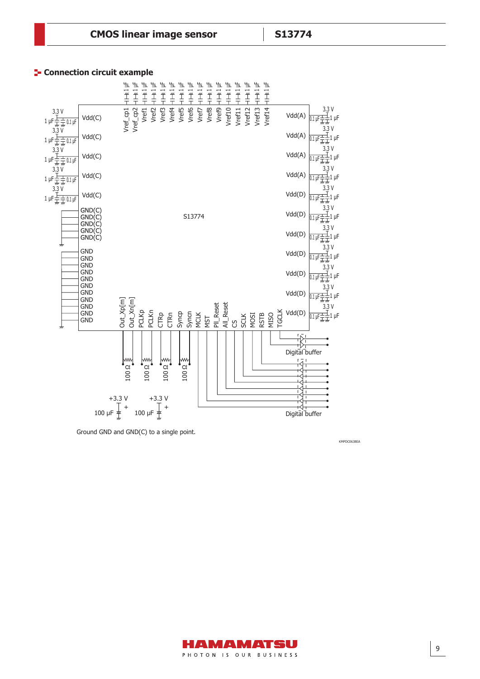### **Connection circuit example**



Ground GND and GND(C) to a single point.

KMPDC0638EA